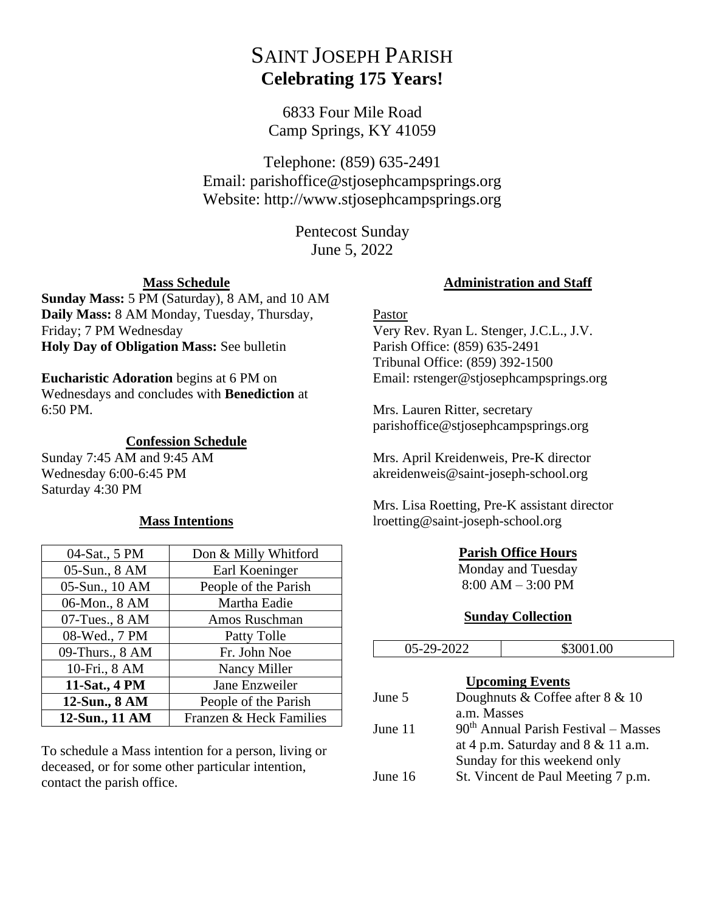# SAINT JOSEPH PARISH **Celebrating 175 Years!**

6833 Four Mile Road Camp Springs, KY 41059

Telephone: (859) 635-2491 Email: parishoffice@stjosephcampsprings.org Website: http://www.stjosephcampsprings.org

> Pentecost Sunday June 5, 2022

## **Mass Schedule**

**Sunday Mass:** 5 PM (Saturday), 8 AM, and 10 AM **Daily Mass:** 8 AM Monday, Tuesday, Thursday, Friday; 7 PM Wednesday **Holy Day of Obligation Mass:** See bulletin

## **Eucharistic Adoration** begins at 6 PM on

Wednesdays and concludes with **Benediction** at 6:50 PM.

## **Confession Schedule**

Sunday 7:45 AM and 9:45 AM Wednesday 6:00-6:45 PM Saturday 4:30 PM

# **Mass Intentions**

| 04-Sat., 5 PM       | Don & Milly Whitford    |
|---------------------|-------------------------|
| 05-Sun., 8 AM       | Earl Koeninger          |
| 05-Sun., 10 AM      | People of the Parish    |
| 06-Mon., 8 AM       | Martha Eadie            |
| $07$ -Tues., $8$ AM | Amos Ruschman           |
| 08-Wed., 7 PM       | Patty Tolle             |
| 09-Thurs., 8 AM     | Fr. John Noe            |
| 10-Fri., 8 AM       | Nancy Miller            |
| 11-Sat., 4 PM       | Jane Enzweiler          |
| 12-Sun., 8 AM       | People of the Parish    |
| 12-Sun., 11 AM      | Franzen & Heck Families |

To schedule a Mass intention for a person, living or deceased, or for some other particular intention, contact the parish office.

# **Administration and Staff**

# Pastor

Very Rev. Ryan L. Stenger, J.C.L., J.V. Parish Office: (859) 635-2491 Tribunal Office: (859) 392-1500 Email: rstenger@stjosephcampsprings.org

Mrs. Lauren Ritter, secretary parishoffice@stjosephcampsprings.org

Mrs. April Kreidenweis, Pre-K director akreidenweis@saint-joseph-school.org

Mrs. Lisa Roetting, Pre-K assistant director lroetting@saint-joseph-school.org

# **Parish Office Hours**

Monday and Tuesday 8:00 AM – 3:00 PM

## **Sunday Collection**

| 05-29-2022             |             | \$3001.00                              |
|------------------------|-------------|----------------------------------------|
| <b>Upcoming Events</b> |             |                                        |
| June 5                 |             | Doughnuts & Coffee after $8 \& 10$     |
|                        | a.m. Masses |                                        |
| June 11                |             | $90th$ Annual Parish Festival – Masses |
|                        |             | at 4 p.m. Saturday and $8 \& 11$ a.m.  |
|                        |             | Sunday for this weekend only           |
| June 16                |             | St. Vincent de Paul Meeting 7 p.m.     |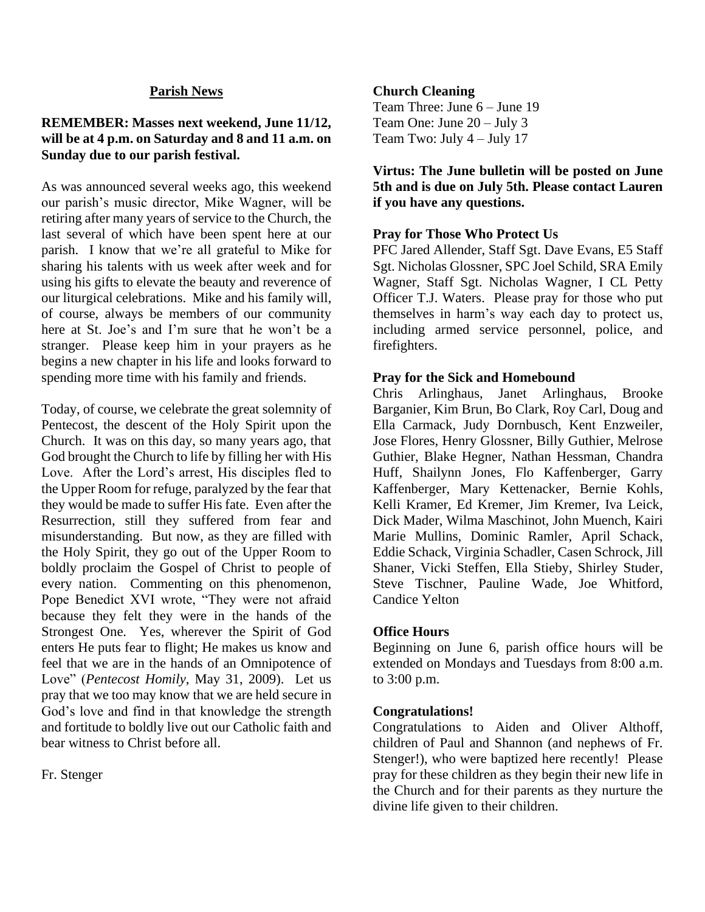# **Parish News**

# **REMEMBER: Masses next weekend, June 11/12, will be at 4 p.m. on Saturday and 8 and 11 a.m. on Sunday due to our parish festival.**

As was announced several weeks ago, this weekend our parish's music director, Mike Wagner, will be retiring after many years of service to the Church, the last several of which have been spent here at our parish. I know that we're all grateful to Mike for sharing his talents with us week after week and for using his gifts to elevate the beauty and reverence of our liturgical celebrations. Mike and his family will, of course, always be members of our community here at St. Joe's and I'm sure that he won't be a stranger. Please keep him in your prayers as he begins a new chapter in his life and looks forward to spending more time with his family and friends.

Today, of course, we celebrate the great solemnity of Pentecost, the descent of the Holy Spirit upon the Church. It was on this day, so many years ago, that God brought the Church to life by filling her with His Love. After the Lord's arrest, His disciples fled to the Upper Room for refuge, paralyzed by the fear that they would be made to suffer His fate. Even after the Resurrection, still they suffered from fear and misunderstanding. But now, as they are filled with the Holy Spirit, they go out of the Upper Room to boldly proclaim the Gospel of Christ to people of every nation. Commenting on this phenomenon, Pope Benedict XVI wrote, "They were not afraid because they felt they were in the hands of the Strongest One. Yes, wherever the Spirit of God enters He puts fear to flight; He makes us know and feel that we are in the hands of an Omnipotence of Love" (*Pentecost Homily*, May 31, 2009). Let us pray that we too may know that we are held secure in God's love and find in that knowledge the strength and fortitude to boldly live out our Catholic faith and bear witness to Christ before all.

Fr. Stenger

# **Church Cleaning**

Team Three: June 6 – June 19 Team One: June 20 – July 3 Team Two: July  $4 -$  July 17

# **Virtus: The June bulletin will be posted on June 5th and is due on July 5th. Please contact Lauren if you have any questions.**

# **Pray for Those Who Protect Us**

PFC Jared Allender, Staff Sgt. Dave Evans, E5 Staff Sgt. Nicholas Glossner, SPC Joel Schild, SRA Emily Wagner, Staff Sgt. Nicholas Wagner, I CL Petty Officer T.J. Waters. Please pray for those who put themselves in harm's way each day to protect us, including armed service personnel, police, and firefighters.

## **Pray for the Sick and Homebound**

Chris Arlinghaus, Janet Arlinghaus, Brooke Barganier, Kim Brun, Bo Clark, Roy Carl, Doug and Ella Carmack, Judy Dornbusch, Kent Enzweiler, Jose Flores, Henry Glossner, Billy Guthier, Melrose Guthier, Blake Hegner, Nathan Hessman, Chandra Huff, Shailynn Jones, Flo Kaffenberger, Garry Kaffenberger, Mary Kettenacker, Bernie Kohls, Kelli Kramer, Ed Kremer, Jim Kremer, Iva Leick, Dick Mader, Wilma Maschinot, John Muench, Kairi Marie Mullins, Dominic Ramler, April Schack, Eddie Schack, Virginia Schadler, Casen Schrock, Jill Shaner, Vicki Steffen, Ella Stieby, Shirley Studer, Steve Tischner, Pauline Wade, Joe Whitford, Candice Yelton

# **Office Hours**

Beginning on June 6, parish office hours will be extended on Mondays and Tuesdays from 8:00 a.m. to 3:00 p.m.

## **Congratulations!**

Congratulations to Aiden and Oliver Althoff, children of Paul and Shannon (and nephews of Fr. Stenger!), who were baptized here recently! Please pray for these children as they begin their new life in the Church and for their parents as they nurture the divine life given to their children.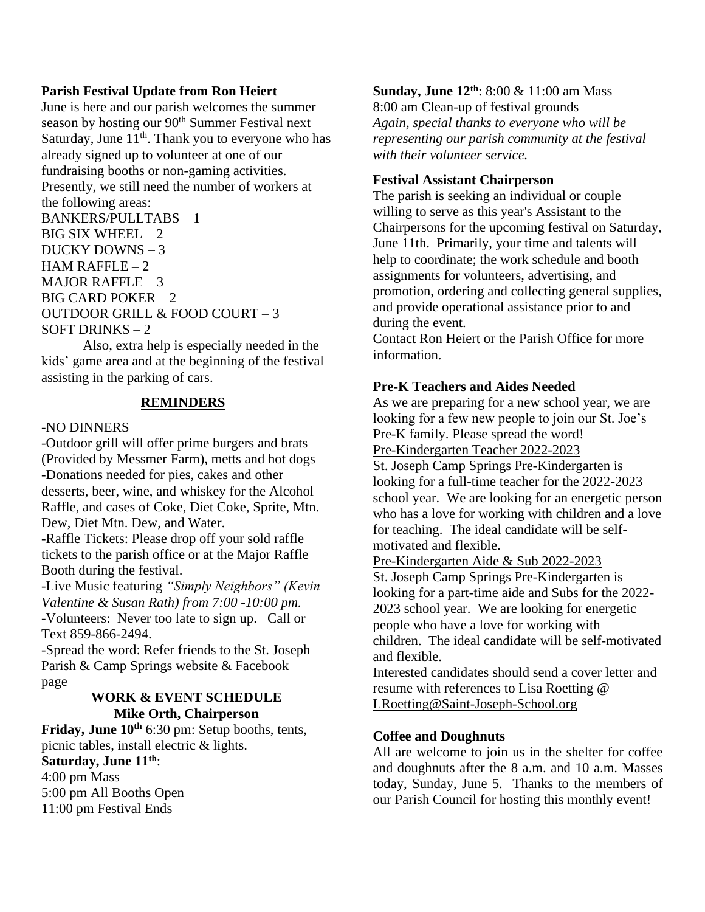# **Parish Festival Update from Ron Heiert**

June is here and our parish welcomes the summer season by hosting our 90<sup>th</sup> Summer Festival next Saturday, June 11<sup>th</sup>. Thank you to everyone who has already signed up to volunteer at one of our fundraising booths or non-gaming activities. Presently, we still need the number of workers at the following areas: BANKERS/PULLTABS – 1

BIG SIX WHEEL  $-2$ DUCKY DOWNS – 3 HAM RAFFLE  $-2$ MAJOR RAFFLE  $-3$ BIG CARD POKER – 2 OUTDOOR GRILL & FOOD COURT – 3 SOFT DRINKS – 2

Also, extra help is especially needed in the kids' game area and at the beginning of the festival assisting in the parking of cars.

# **REMINDERS**

# -NO DINNERS

-Outdoor grill will offer prime burgers and brats (Provided by Messmer Farm), metts and hot dogs -Donations needed for pies, cakes and other desserts, beer, wine, and whiskey for the Alcohol Raffle, and cases of Coke, Diet Coke, Sprite, Mtn. Dew, Diet Mtn. Dew, and Water.

-Raffle Tickets: Please drop off your sold raffle tickets to the parish office or at the Major Raffle Booth during the festival.

-Live Music featuring *"Simply Neighbors" (Kevin Valentine & Susan Rath) from 7:00 -10:00 pm.* -Volunteers: Never too late to sign up. Call or Text 859-866-2494.

-Spread the word: Refer friends to the St. Joseph Parish & Camp Springs website & Facebook page

# **WORK & EVENT SCHEDULE Mike Orth, Chairperson**

**Friday, June 10 th** 6:30 pm: Setup booths, tents, picnic tables, install electric & lights. **Saturday, June 11 th** : 4:00 pm Mass 5:00 pm All Booths Open

11:00 pm Festival Ends

**Sunday, June 12 th** : 8:00 & 11:00 am Mass 8:00 am Clean-up of festival grounds *Again, special thanks to everyone who will be representing our parish community at the festival with their volunteer service.*

# **Festival Assistant Chairperson**

The parish is seeking an individual or couple willing to serve as this year's Assistant to the Chairpersons for the upcoming festival on Saturday, June 11th. Primarily, your time and talents will help to coordinate; the work schedule and booth assignments for volunteers, advertising, and promotion, ordering and collecting general supplies, and provide operational assistance prior to and during the event.

Contact Ron Heiert or the Parish Office for more information.

# **Pre-K Teachers and Aides Needed**

As we are preparing for a new school year, we are looking for a few new people to join our St. Joe's Pre-K family. Please spread the word! Pre-Kindergarten Teacher 2022-2023

St. Joseph Camp Springs Pre-Kindergarten is looking for a full-time teacher for the 2022-2023 school year. We are looking for an energetic person who has a love for working with children and a love for teaching. The ideal candidate will be selfmotivated and flexible.

## Pre-Kindergarten Aide & Sub 2022-2023

St. Joseph Camp Springs Pre-Kindergarten is looking for a part-time aide and Subs for the 2022- 2023 school year. We are looking for energetic people who have a love for working with children. The ideal candidate will be self-motivated and flexible.

Interested candidates should send a cover letter and resume with references to Lisa Roetting @ [LRoetting@Saint-Joseph-School.org](mailto:LRoetting@Saint-Joseph-School.org)

# **Coffee and Doughnuts**

All are welcome to join us in the shelter for coffee and doughnuts after the 8 a.m. and 10 a.m. Masses today, Sunday, June 5. Thanks to the members of our Parish Council for hosting this monthly event!